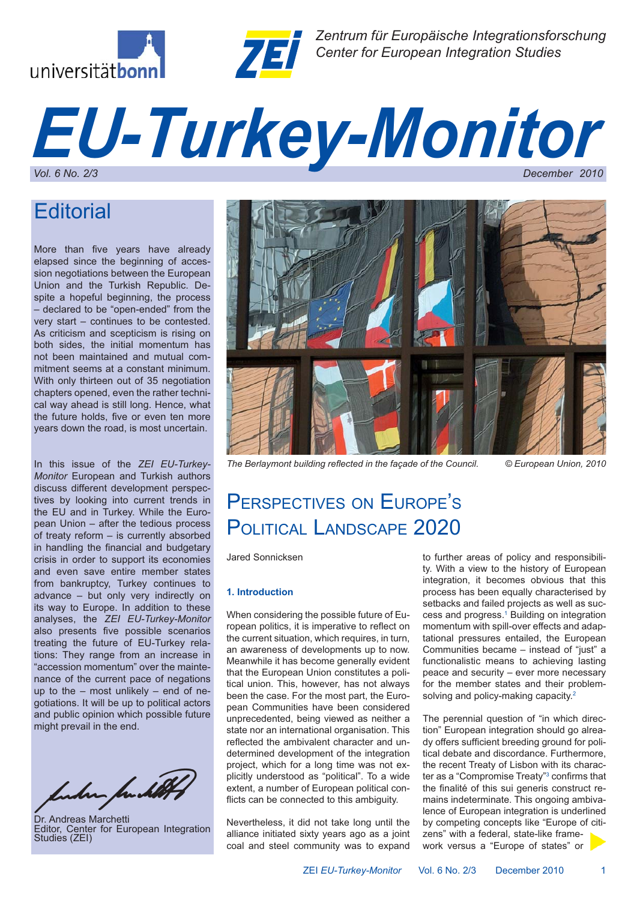



*Zentrum für Europäische Integrationsforschung Center for European Integration Studies*

# *EU-Turkey-Monitor Vol. 6 No. 2/3 December 2010*

### **Editorial**

More than five years have already elapsed since the beginning of accession negotiations between the European Union and the Turkish Republic. Despite a hopeful beginning, the process – declared to be "open-ended" from the very start – continues to be contested. As criticism and scepticism is rising on both sides, the initial momentum has not been maintained and mutual commitment seems at a constant minimum. With only thirteen out of 35 negotiation chapters opened, even the rather technical way ahead is still long. Hence, what the future holds, five or even ten more years down the road, is most uncertain.

In this issue of the *ZEI EU-Turkey-Monitor* European and Turkish authors discuss different development perspectives by looking into current trends in the EU and in Turkey. While the European Union – after the tedious process of treaty reform – is currently absorbed in handling the financial and budgetary crisis in order to support its economies and even save entire member states from bankruptcy, Turkey continues to advance – but only very indirectly on its way to Europe. In addition to these analyses, the *ZEI EU-Turkey-Monitor* also presents five possible scenarios treating the future of EU-Turkey relations: They range from an increase in "accession momentum" over the maintenance of the current pace of negations up to the – most unlikely – end of negotiations. It will be up to political actors and public opinion which possible future might prevail in the end.

funder fundet

Dr. Andreas Marchetti Editor, Center for European Integration Studies (ZEI)



*The Berlaymont building reflected in the façade of the Council. © European Union, 2010*

## PERSPECTIVES ON EUROPF'S POLITICAL LANDSCAPE 2020

Jared Sonnicksen

### **1. Introduction**

When considering the possible future of European politics, it is imperative to reflect on the current situation, which requires, in turn, an awareness of developments up to now. Meanwhile it has become generally evident that the European Union constitutes a political union. This, however, has not always been the case. For the most part, the European Communities have been considered unprecedented, being viewed as neither a state nor an international organisation. This reflected the ambivalent character and undetermined development of the integration project, which for a long time was not explicitly understood as "political". To a wide extent, a number of European political conflicts can be connected to this ambiguity.

Nevertheless, it did not take long until the alliance initiated sixty years ago as a joint coal and steel community was to expand

to further areas of policy and responsibility. With a view to the history of European integration, it becomes obvious that this process has been equally characterised by setbacks and failed projects as well as success and progress.<sup>1</sup> Building on integration momentum with spill-over effects and adaptational pressures entailed, the European Communities became – instead of "just" a functionalistic means to achieving lasting peace and security – ever more necessary for the member states and their problemsolving and policy-making capacity.<sup>2</sup>

The perennial question of "in which direction" European integration should go already offers sufficient breeding ground for political debate and discordance. Furthermore, the recent Treaty of Lisbon with its character as a "Compromise Treaty"<sup>3</sup> confirms that the finalité of this sui generis construct remains indeterminate. This ongoing ambivalence of European integration is underlined by competing concepts like "Europe of citizens" with a federal, state-like framework versus a "Europe of states" or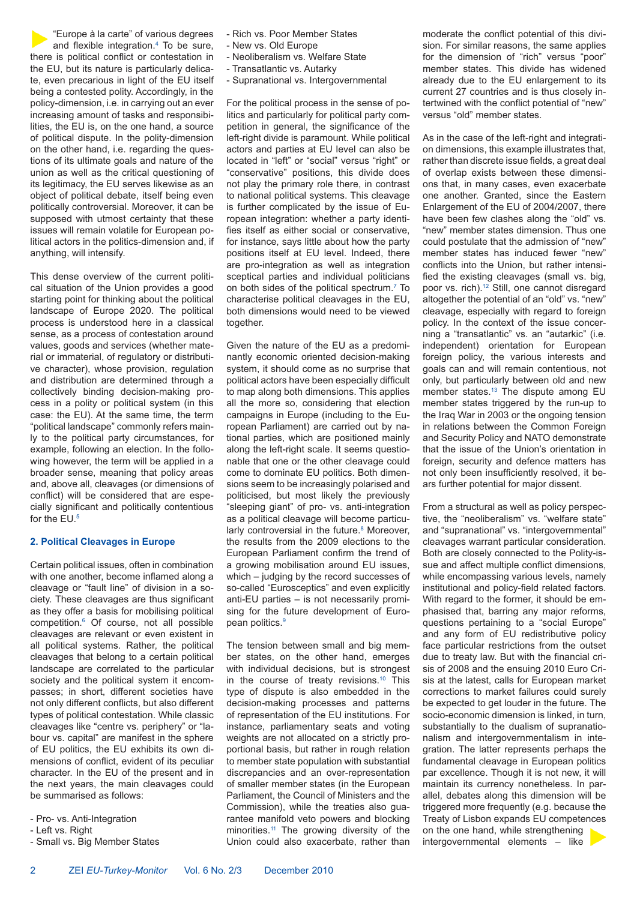"Europe à la carte" of various degrees and flexible integration.4 To be sure, there is political conflict or contestation in the EU, but its nature is particularly delicate, even precarious in light of the EU itself being a contested polity. Accordingly, in the policy-dimension, i.e. in carrying out an ever increasing amount of tasks and responsibilities, the EU is, on the one hand, a source of political dispute. In the polity-dimension on the other hand, i.e. regarding the questions of its ultimate goals and nature of the union as well as the critical questioning of its legitimacy, the EU serves likewise as an object of political debate, itself being even politically controversial. Moreover, it can be supposed with utmost certainty that these issues will remain volatile for European political actors in the politics-dimension and, if anything, will intensify.

This dense overview of the current political situation of the Union provides a good starting point for thinking about the political landscape of Europe 2020. The political process is understood here in a classical sense, as a process of contestation around values, goods and services (whether material or immaterial, of regulatory or distributive character), whose provision, regulation and distribution are determined through a collectively binding decision-making process in a polity or political system (in this case: the EU). At the same time, the term "political landscape" commonly refers mainly to the political party circumstances, for example, following an election. In the following however, the term will be applied in a broader sense, meaning that policy areas and, above all, cleavages (or dimensions of conflict) will be considered that are especially significant and politically contentious for the EU.5

#### **2. Political Cleavages in Europe**

Certain political issues, often in combination with one another, become inflamed along a cleavage or "fault line" of division in a society. These cleavages are thus significant as they offer a basis for mobilising political competition.6 Of course, not all possible cleavages are relevant or even existent in all political systems. Rather, the political cleavages that belong to a certain political landscape are correlated to the particular society and the political system it encompasses; in short, different societies have not only different conflicts, but also different types of political contestation. While classic cleavages like "centre vs. periphery" or "labour vs. capital" are manifest in the sphere of EU politics, the EU exhibits its own dimensions of conflict, evident of its peculiar character. In the EU of the present and in the next years, the main cleavages could be summarised as follows:

- Pro- vs. Anti-Integration
- Left vs. Right
- Small vs. Big Member States
- Rich vs. Poor Member States
- New vs. Old Europe
- Neoliberalism vs. Welfare State
- Transatlantic vs. Autarky
- Supranational vs. Intergovernmental

For the political process in the sense of politics and particularly for political party competition in general, the significance of the left-right divide is paramount. While political actors and parties at EU level can also be located in "left" or "social" versus "right" or "conservative" positions, this divide does not play the primary role there, in contrast to national political systems. This cleavage is further complicated by the issue of European integration: whether a party identifies itself as either social or conservative, for instance, says little about how the party positions itself at EU level. Indeed, there are pro-integration as well as integration sceptical parties and individual politicians on both sides of the political spectrum.7 To characterise political cleavages in the EU, both dimensions would need to be viewed together.

Given the nature of the EU as a predominantly economic oriented decision-making system, it should come as no surprise that political actors have been especially difficult to map along both dimensions. This applies all the more so, considering that election campaigns in Europe (including to the European Parliament) are carried out by national parties, which are positioned mainly along the left-right scale. It seems questionable that one or the other cleavage could come to dominate EU politics. Both dimensions seem to be increasingly polarised and politicised, but most likely the previously "sleeping giant" of pro- vs. anti-integration as a political cleavage will become particularly controversial in the future.<sup>8</sup> Moreover, the results from the 2009 elections to the European Parliament confirm the trend of a growing mobilisation around EU issues, which – judging by the record successes of so-called "Eurosceptics" and even explicitly anti-EU parties – is not necessarily promising for the future development of European politics.<sup>9</sup>

The tension between small and big member states, on the other hand, emerges with individual decisions, but is strongest in the course of treaty revisions.<sup>10</sup> This type of dispute is also embedded in the decision-making processes and patterns of representation of the EU institutions. For instance, parliamentary seats and voting weights are not allocated on a strictly proportional basis, but rather in rough relation to member state population with substantial discrepancies and an over-representation of smaller member states (in the European Parliament, the Council of Ministers and the Commission), while the treaties also guarantee manifold veto powers and blocking minorities.<sup>11</sup> The growing diversity of the Union could also exacerbate, rather than

moderate the conflict potential of this division. For similar reasons, the same applies for the dimension of "rich" versus "poor" member states. This divide has widened already due to the EU enlargement to its current 27 countries and is thus closely intertwined with the conflict potential of "new" versus "old" member states.

As in the case of the left-right and integration dimensions, this example illustrates that, rather than discrete issue fields, a great deal of overlap exists between these dimensions that, in many cases, even exacerbate one another. Granted, since the Eastern Enlargement of the EU of 2004/2007, there have been few clashes along the "old" vs. "new" member states dimension. Thus one could postulate that the admission of "new" member states has induced fewer "new" conflicts into the Union, but rather intensified the existing cleavages (small vs. big, poor vs. rich).<sup>12</sup> Still, one cannot disregard altogether the potential of an "old" vs. "new" cleavage, especially with regard to foreign policy. In the context of the issue concerning a "transatlantic" vs. an "autarkic" (i.e. independent) orientation for European foreign policy, the various interests and goals can and will remain contentious, not only, but particularly between old and new member states.<sup>13</sup> The dispute among EU member states triggered by the run-up to the Iraq War in 2003 or the ongoing tension in relations between the Common Foreign and Security Policy and NATO demonstrate that the issue of the Union's orientation in foreign, security and defence matters has not only been insufficiently resolved, it bears further potential for major dissent.

From a structural as well as policy perspective, the "neoliberalism" vs. "welfare state" and "supranational" vs. "intergovernmental" cleavages warrant particular consideration. Both are closely connected to the Polity-issue and affect multiple conflict dimensions, while encompassing various levels, namely institutional and policy-field related factors. With regard to the former, it should be emphasised that, barring any major reforms, questions pertaining to a "social Europe" and any form of EU redistributive policy face particular restrictions from the outset due to treaty law. But with the financial crisis of 2008 and the ensuing 2010 Euro Crisis at the latest, calls for European market corrections to market failures could surely be expected to get louder in the future. The socio-economic dimension is linked, in turn, substantially to the dualism of supranationalism and intergovernmentalism in integration. The latter represents perhaps the fundamental cleavage in European politics par excellence. Though it is not new, it will maintain its currency nonetheless. In parallel, debates along this dimension will be triggered more frequently (e.g. because the Treaty of Lisbon expands EU competences on the one hand, while strengthening intergovernmental elements – like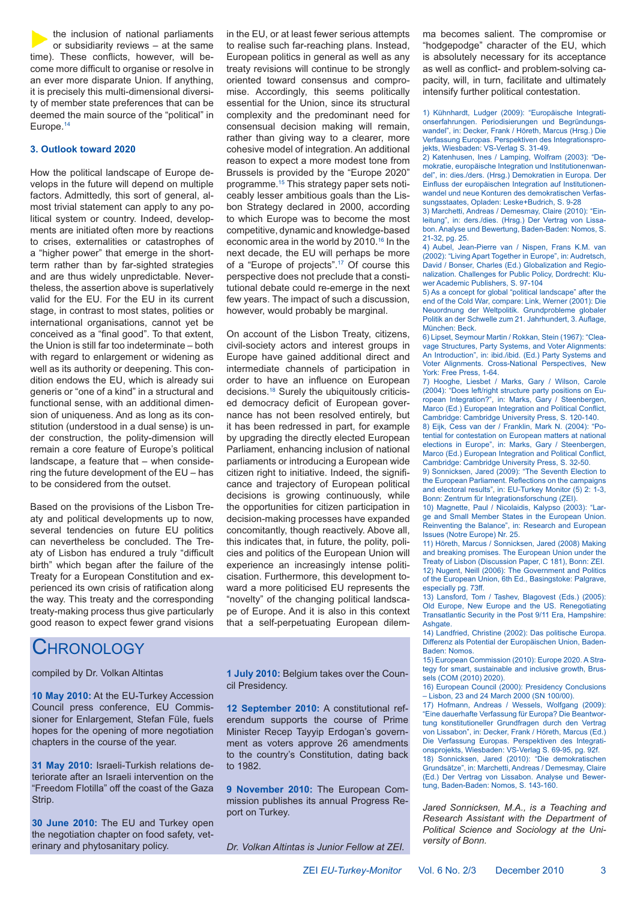the inclusion of national parliaments or subsidiarity reviews – at the same time). These conflicts, however, will become more difficult to organise or resolve in an ever more disparate Union. If anything, it is precisely this multi-dimensional diversity of member state preferences that can be deemed the main source of the "political" in Europe.14

### **3. Outlook toward 2020**

How the political landscape of Europe develops in the future will depend on multiple factors. Admittedly, this sort of general, almost trivial statement can apply to any political system or country. Indeed, developments are initiated often more by reactions to crises, externalities or catastrophes of a "higher power" that emerge in the shortterm rather than by far-sighted strategies and are thus widely unpredictable. Nevertheless, the assertion above is superlatively valid for the EU. For the EU in its current stage, in contrast to most states, polities or international organisations, cannot yet be conceived as a "final good". To that extent, the Union is still far too indeterminate – both with regard to enlargement or widening as well as its authority or deepening. This condition endows the EU, which is already sui generis or "one of a kind" in a structural and functional sense, with an additional dimension of uniqueness. And as long as its constitution (understood in a dual sense) is under construction, the polity-dimension will remain a core feature of Europe's political landscape, a feature that – when considering the future development of the EU – has to be considered from the outset.

Based on the provisions of the Lisbon Treaty and political developments up to now, several tendencies on future EU politics can nevertheless be concluded. The Treaty of Lisbon has endured a truly "difficult birth" which began after the failure of the Treaty for a European Constitution and experienced its own crisis of ratification along the way. This treaty and the corresponding treaty-making process thus give particularly good reason to expect fewer grand visions

### **CHRONOLOGY**

compiled by Dr. Volkan Altintas

**10 May 2010:** At the EU-Turkey Accession Council press conference, EU Commissioner for Enlargement, Stefan Füle, fuels hopes for the opening of more negotiation chapters in the course of the year.

**31 May 2010:** Israeli-Turkish relations deteriorate after an Israeli intervention on the "Freedom Flotilla" off the coast of the Gaza Strip.

**30 June 2010:** The EU and Turkey open the negotiation chapter on food safety, veterinary and phytosanitary policy.

in the EU, or at least fewer serious attempts to realise such far-reaching plans. Instead, European politics in general as well as any treaty revisions will continue to be strongly oriented toward consensus and compromise. Accordingly, this seems politically essential for the Union, since its structural complexity and the predominant need for consensual decision making will remain, rather than giving way to a clearer, more cohesive model of integration. An additional reason to expect a more modest tone from Brussels is provided by the "Europe 2020" programme.15 This strategy paper sets noticeably lesser ambitious goals than the Lisbon Strategy declared in 2000, according to which Europe was to become the most competitive, dynamic and knowledge-based economic area in the world by 2010.<sup>16</sup> In the next decade, the EU will perhaps be more of a "Europe of projects".<sup>17</sup> Of course this perspective does not preclude that a constitutional debate could re-emerge in the next few years. The impact of such a discussion, however, would probably be marginal.

On account of the Lisbon Treaty, citizens, civil-society actors and interest groups in Europe have gained additional direct and intermediate channels of participation in order to have an influence on European decisions.18 Surely the ubiquitously criticised democracy deficit of European governance has not been resolved entirely, but it has been redressed in part, for example by upgrading the directly elected European Parliament, enhancing inclusion of national parliaments or introducing a European wide citizen right to initiative. Indeed, the significance and trajectory of European political decisions is growing continuously, while the opportunities for citizen participation in decision-making processes have expanded concomitantly, though reactively. Above all, this indicates that, in future, the polity, policies and politics of the European Union will experience an increasingly intense politicisation. Furthermore, this development toward a more politicised EU represents the "novelty" of the changing political landscape of Europe. And it is also in this context that a self-perpetuating European dilem-

**1 July 2010:** Belgium takes over the Council Presidency.

**12 September 2010:** A constitutional referendum supports the course of Prime Minister Recep Tayyip Erdogan's government as voters approve 26 amendments to the country's Constitution, dating back to 1982.

**9 November 2010:** The European Commission publishes its annual Progress Report on Turkey.

*Dr. Volkan Altintas is Junior Fellow at ZEI.*

ma becomes salient. The compromise or "hodgepodge" character of the EU, which is absolutely necessary for its acceptance as well as conflict- and problem-solving capacity, will, in turn, facilitate and ultimately intensify further political contestation.

1) Kühnhardt, Ludger (2009): "Europäische Integrationserfahrungen. Periodisierungen und Begründungswandel", in: Decker, Frank / Höreth, Marcus (Hrsg.) Die Verfassung Europas. Perspektiven des Integrationsprojekts, Wiesbaden: VS-Verlag S. 31-49.

2) Katenhusen, Ines / Lamping, Wolfram (2003): "Demokratie, europäische Integration und Institutionenwandel", in: dies./ders. (Hrsg.) Demokratien in Europa. Der Einfluss der europäischen Integration auf Institutionenwandel und neue Konturen des demokratischen Verfassungsstaates, Opladen: Leske+Budrich, S. 9-28

3) Marchetti, Andreas / Demesmay, Claire (2010): "Einleitung", in: ders./dies. (Hrsg.) Der Vertrag von Lissabon. Analyse und Bewertung, Baden-Baden: Nomos, S. 21-32, pg. 25.

4) Aubel, Jean-Pierre van / Nispen, Frans K.M. van (2002): "Living Apart Together in Europe", in: Audretsch, David / Bonser, Charles (Ed.) Globalization and Regionalization. Challenges for Public Policy, Dordrecht: Kluwer Academic Publishers, S. 97-104

5) As a concept for global "political landscape" after the end of the Cold War, compare: Link, Werner (2001): Die Neuordnung der Weltpolitik. Grundprobleme globaler Politik an der Schwelle zum 21. Jahrhundert, 3. Auflage, München: Beck.

6) Lipset, Seymour Martin / Rokkan, Stein (1967): "Cleavage Structures, Party Systems, and Voter Alignments: An Introduction", in: ibid./ibid. (Ed.) Party Systems and Voter Alignments. Cross-National Perspectives, New York: Free Press, 1-64

7) Hooghe, Liesbet / Marks, Gary / Wilson, Carole (2004): "Does left/right structure party positions on European Integration?", in: Marks, Gary / Steenbergen, Marco (Ed.) European Integration and Political Conflict, Cambridge: Cambridge University Press, S. 120-140.

8) Eijk, Cess van der / Franklin, Mark N. (2004): "Potential for contestation on European matters at national elections in Europe", in: Marks, Gary / Steenbergen, Marco (Ed.) European Integration and Political Conflict, Cambridge: Cambridge University Press, S. 32-50.

9) Sonnicksen, Jared (2009): "The Seventh Election to the European Parliament. Reflections on the campaigns and electoral results", in: EU-Turkey Monitor (5) 2: 1-3, Bonn: Zentrum für Integrationsforschung (ZEI).

10) Magnette, Paul / Nicolaidis, Kalypso (2003): "Large and Small Member States in the European Union. Reinventing the Balance", in: Research and European Issues (Notre Europe) Nr. 25.

11) Höreth, Marcus / Sonnicksen, Jared (2008) Making and breaking promises. The European Union under the Treaty of Lisbon (Discussion Paper, C 181), Bonn: ZEI. 12) Nugent, Neill (2006): The Government and Politics of the European Union, 6th Ed., Basingstoke: Palgrave, especially pg. 73ff.

13) Lansford, Tom / Tashev, Blagovest (Eds.) (2005): Old Europe, New Europe and the US. Renegotiating Transatlantic Security in the Post 9/11 Era, Hampshire: Ashgate.

14) Landfried, Christine (2002): Das politische Europa. Differenz als Potential der Europäischen Union, Baden-Baden: Nomos.

15) European Commission (2010): Europe 2020. A Strategy for smart, sustainable and inclusive growth, Brussels (COM (2010) 2020).

16) European Council (2000): Presidency Conclusions – Lisbon, 23 and 24 March 2000 (SN 100/00).

17) Hofmann, Andreas / Wessels, Wolfgang (2009): "Eine dauerhafte Verfassung für Europa? Die Beantwortung konstitutioneller Grundfragen durch den Vertrag von Lissabon", in: Decker, Frank / Höreth, Marcus (Ed.) Die Verfassung Europas. Perspektiven des Integrationsprojekts, Wiesbaden: VS-Verlag S. 69-95, pg. 92f. 18) Sonnicksen, Jared (2010): "Die demokratischen Grundsätze", in: Marchetti, Andreas / Demesmay, Claire (Ed.) Der Vertrag von Lissabon. Analyse und Bewertung, Baden-Baden: Nomos, S. 143-160.

*Jared Sonnicksen, M.A., is a Teaching and Research Assistant with the Department of Political Science and Sociology at the University of Bonn.*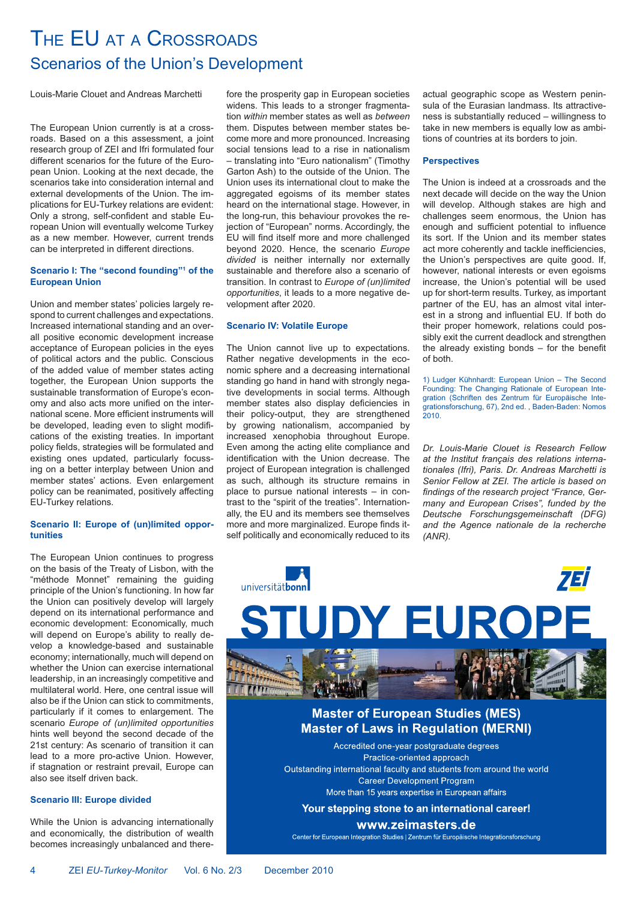### THE EU AT A CROSSROADS Scenarios of the Union's Development

Louis-Marie Clouet and Andreas Marchetti

The European Union currently is at a crossroads. Based on a this assessment, a joint research group of ZEI and Ifri formulated four different scenarios for the future of the European Union. Looking at the next decade, the scenarios take into consideration internal and external developments of the Union. The implications for EU-Turkey relations are evident: Only a strong, self-confident and stable European Union will eventually welcome Turkey as a new member. However, current trends can be interpreted in different directions.

#### **Scenario I: The "second founding"1 of the European Union**

Union and member states' policies largely respond to current challenges and expectations. Increased international standing and an overall positive economic development increase acceptance of European policies in the eyes of political actors and the public. Conscious of the added value of member states acting together, the European Union supports the sustainable transformation of Europe's economy and also acts more unified on the international scene. More efficient instruments will be developed, leading even to slight modifications of the existing treaties. In important policy fields, strategies will be formulated and existing ones updated, particularly focussing on a better interplay between Union and member states' actions. Even enlargement policy can be reanimated, positively affecting EU-Turkey relations.

#### **Scenario II: Europe of (un)limited opportunities**

The European Union continues to progress on the basis of the Treaty of Lisbon, with the "méthode Monnet" remaining the guiding principle of the Union's functioning. In how far the Union can positively develop will largely depend on its international performance and economic development: Economically, much will depend on Europe's ability to really develop a knowledge-based and sustainable economy; internationally, much will depend on whether the Union can exercise international leadership, in an increasingly competitive and multilateral world. Here, one central issue will also be if the Union can stick to commitments, particularly if it comes to enlargement. The scenario *Europe of (un)limited opportunities*  hints well beyond the second decade of the 21st century: As scenario of transition it can lead to a more pro-active Union. However, if stagnation or restraint prevail, Europe can also see itself driven back.

### **Scenario III: Europe divided**

While the Union is advancing internationally and economically, the distribution of wealth becomes increasingly unbalanced and therefore the prosperity gap in European societies widens. This leads to a stronger fragmentation *within* member states as well as *between* them. Disputes between member states become more and more pronounced. Increasing social tensions lead to a rise in nationalism – translating into "Euro nationalism" (Timothy Garton Ash) to the outside of the Union. The Union uses its international clout to make the aggregated egoisms of its member states heard on the international stage. However, in the long-run, this behaviour provokes the rejection of "European" norms. Accordingly, the EU will find itself more and more challenged beyond 2020. Hence, the scenario *Europe divided* is neither internally nor externally sustainable and therefore also a scenario of transition. In contrast to *Europe of (un)limited opportunities*, it leads to a more negative development after 2020.

### **Scenario IV: Volatile Europe**

The Union cannot live up to expectations. Rather negative developments in the economic sphere and a decreasing international standing go hand in hand with strongly negative developments in social terms. Although member states also display deficiencies in their policy-output, they are strengthened by growing nationalism, accompanied by increased xenophobia throughout Europe. Even among the acting elite compliance and identification with the Union decrease. The project of European integration is challenged as such, although its structure remains in place to pursue national interests – in contrast to the "spirit of the treaties". Internationally, the EU and its members see themselves more and more marginalized. Europe finds itself politically and economically reduced to its

actual geographic scope as Western peninsula of the Eurasian landmass. Its attractiveness is substantially reduced – willingness to take in new members is equally low as ambitions of countries at its borders to join.

#### **Perspectives**

The Union is indeed at a crossroads and the next decade will decide on the way the Union will develop. Although stakes are high and challenges seem enormous, the Union has enough and sufficient potential to influence its sort. If the Union and its member states act more coherently and tackle inefficiencies, the Union's perspectives are quite good. If, however, national interests or even egoisms increase, the Union's potential will be used up for short-term results. Turkey, as important partner of the EU, has an almost vital interest in a strong and influential EU. If both do their proper homework, relations could possibly exit the current deadlock and strengthen the already existing bonds – for the benefit of both.

1) Ludger Kühnhardt: European Union – The Second Founding: The Changing Rationale of European Integration (Schriften des Zentrum für Europäische Integrationsforschung, 67), 2nd ed. , Baden-Baden: Nomos 2010.

*Dr. Louis-Marie Clouet is Research Fellow at the Institut français des relations internationales (Ifri), Paris. Dr. Andreas Marchetti is Senior Fellow at ZEI. The article is based on findings of the research project "France, Germany and European Crises", funded by the Deutsche Forschungsgemeinschaft (DFG) and the Agence nationale de la recherche (ANR).*



Your stepping stone to an international career!

www.zeimasters.de

Center for European Integration Studies | Zentrum für Europäische Integrationsforschung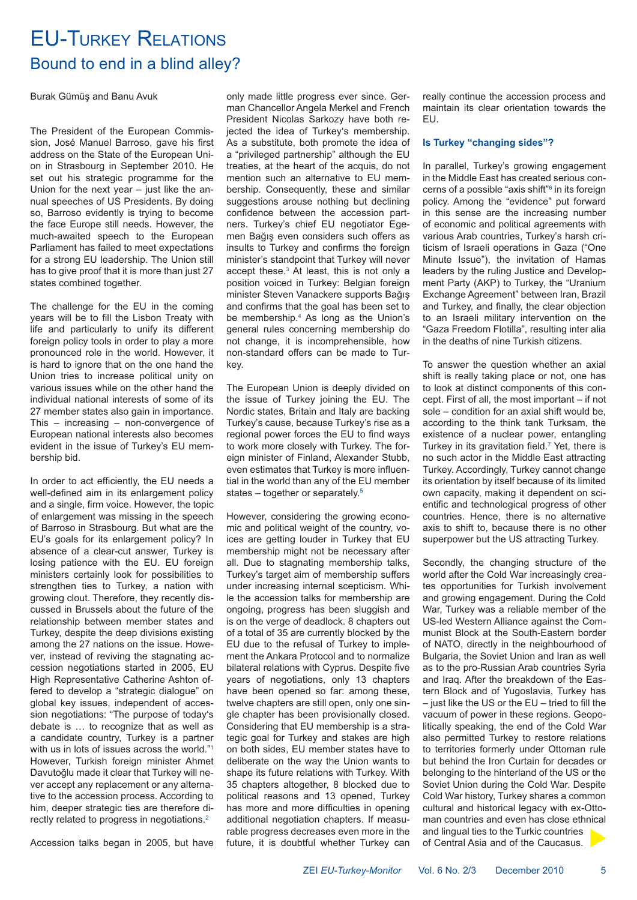### EU-TURKEY RELATIONS Bound to end in a blind alley?

Burak Gümüş and Banu Avuk

The President of the European Commission, José Manuel Barroso, gave his first address on the State of the European Union in Strasbourg in September 2010. He set out his strategic programme for the Union for the next year – just like the annual speeches of US Presidents. By doing so, Barroso evidently is trying to become the face Europe still needs. However, the much-awaited speech to the European Parliament has failed to meet expectations for a strong EU leadership. The Union still has to give proof that it is more than just 27 states combined together.

The challenge for the EU in the coming years will be to fill the Lisbon Treaty with life and particularly to unify its different foreign policy tools in order to play a more pronounced role in the world. However, it is hard to ignore that on the one hand the Union tries to increase political unity on various issues while on the other hand the individual national interests of some of its 27 member states also gain in importance. This – increasing – non-convergence of European national interests also becomes evident in the issue of Turkey's EU membership bid.

In order to act efficiently, the EU needs a well-defined aim in its enlargement policy and a single, firm voice. However, the topic of enlargement was missing in the speech of Barroso in Strasbourg. But what are the EU's goals for its enlargement policy? In absence of a clear-cut answer, Turkey is losing patience with the EU. EU foreign ministers certainly look for possibilities to strengthen ties to Turkey, a nation with growing clout. Therefore, they recently discussed in Brussels about the future of the relationship between member states and Turkey, despite the deep divisions existing among the 27 nations on the issue. However, instead of reviving the stagnating accession negotiations started in 2005, EU High Representative Catherine Ashton offered to develop a "strategic dialogue" on global key issues, independent of accession negotiations: "The purpose of today's debate is … to recognize that as well as a candidate country, Turkey is a partner with us in lots of issues across the world."<sup>1</sup> However, Turkish foreign minister Ahmet Davutoğlu made it clear that Turkey will never accept any replacement or any alternative to the accession process. According to him, deeper strategic ties are therefore directly related to progress in negotiations.2

Accession talks began in 2005, but have

only made little progress ever since. German Chancellor Angela Merkel and French President Nicolas Sarkozy have both rejected the idea of Turkey's membership. As a substitute, both promote the idea of a "privileged partnership" although the EU treaties, at the heart of the acquis, do not mention such an alternative to EU membership. Consequently, these and similar suggestions arouse nothing but declining confidence between the accession partners. Turkey's chief EU negotiator Egemen Bağış even considers such offers as insults to Turkey and confirms the foreign minister's standpoint that Turkey will never accept these.<sup>3</sup> At least, this is not only a position voiced in Turkey: Belgian foreign minister Steven Vanackere supports Bağış and confirms that the goal has been set to be membership.<sup>4</sup> As long as the Union's general rules concerning membership do not change, it is incomprehensible, how non-standard offers can be made to Turkey.

The European Union is deeply divided on the issue of Turkey joining the EU. The Nordic states, Britain and Italy are backing Turkey's cause, because Turkey's rise as a regional power forces the EU to find ways to work more closely with Turkey. The foreign minister of Finland, Alexander Stubb, even estimates that Turkey is more influential in the world than any of the EU member states – together or separately.<sup>5</sup>

However, considering the growing economic and political weight of the country, voices are getting louder in Turkey that EU membership might not be necessary after all. Due to stagnating membership talks, Turkey's target aim of membership suffers under increasing internal scepticism. While the accession talks for membership are ongoing, progress has been sluggish and is on the verge of deadlock. 8 chapters out of a total of 35 are currently blocked by the EU due to the refusal of Turkey to implement the Ankara Protocol and to normalize bilateral relations with Cyprus. Despite five years of negotiations, only 13 chapters have been opened so far: among these, twelve chapters are still open, only one single chapter has been provisionally closed. Considering that EU membership is a strategic goal for Turkey and stakes are high on both sides, EU member states have to deliberate on the way the Union wants to shape its future relations with Turkey. With 35 chapters altogether, 8 blocked due to political reasons and 13 opened, Turkey has more and more difficulties in opening additional negotiation chapters. If measurable progress decreases even more in the future, it is doubtful whether Turkey can really continue the accession process and maintain its clear orientation towards the EU.

#### **Is Turkey "changing sides"?**

In parallel, Turkey's growing engagement in the Middle East has created serious concerns of a possible "axis shift"<sup>6</sup> in its foreign policy. Among the "evidence" put forward in this sense are the increasing number of economic and political agreements with various Arab countries, Turkey's harsh criticism of Israeli operations in Gaza ("One Minute Issue"), the invitation of Hamas leaders by the ruling Justice and Development Party (AKP) to Turkey, the "Uranium Exchange Agreement" between Iran, Brazil and Turkey, and finally, the clear objection to an Israeli military intervention on the "Gaza Freedom Flotilla", resulting inter alia in the deaths of nine Turkish citizens.

To answer the question whether an axial shift is really taking place or not, one has to look at distinct components of this concept. First of all, the most important – if not sole – condition for an axial shift would be, according to the think tank Turksam, the existence of a nuclear power, entangling Turkey in its gravitation field.<sup> $7$ </sup> Yet, there is no such actor in the Middle East attracting Turkey. Accordingly, Turkey cannot change its orientation by itself because of its limited own capacity, making it dependent on scientific and technological progress of other countries. Hence, there is no alternative axis to shift to, because there is no other superpower but the US attracting Turkey.

Secondly, the changing structure of the world after the Cold War increasingly creates opportunities for Turkish involvement and growing engagement. During the Cold War, Turkey was a reliable member of the US-led Western Alliance against the Communist Block at the South-Eastern border of NATO, directly in the neighbourhood of Bulgaria, the Soviet Union and Iran as well as to the pro-Russian Arab countries Syria and Iraq. After the breakdown of the Eastern Block and of Yugoslavia, Turkey has – just like the US or the EU – tried to fill the vacuum of power in these regions. Geopolitically speaking, the end of the Cold War also permitted Turkey to restore relations to territories formerly under Ottoman rule but behind the Iron Curtain for decades or belonging to the hinterland of the US or the Soviet Union during the Cold War. Despite Cold War history, Turkey shares a common cultural and historical legacy with ex-Ottoman countries and even has close ethnical and lingual ties to the Turkic countries of Central Asia and of the Caucasus.

ZEI *EU-Turkey-Monitor* Vol. 6 No. 2/3 December 2010 5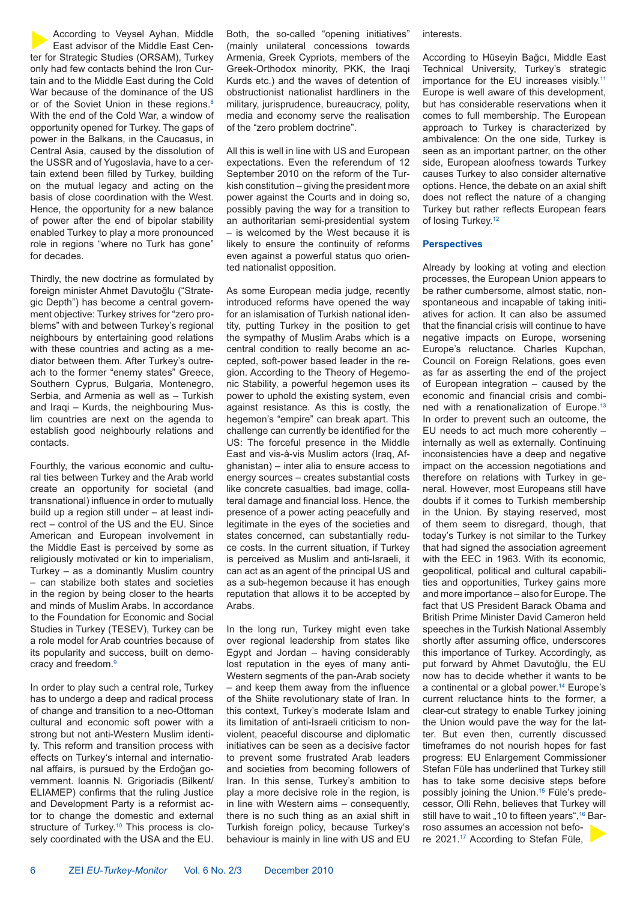According to Veysel Ayhan, Middle East advisor of the Middle East Center for Strategic Studies (ORSAM), Turkey only had few contacts behind the Iron Curtain and to the Middle East during the Cold War because of the dominance of the US or of the Soviet Union in these regions.<sup>8</sup> With the end of the Cold War, a window of opportunity opened for Turkey. The gaps of power in the Balkans, in the Caucasus, in Central Asia, caused by the dissolution of the USSR and of Yugoslavia, have to a certain extend been filled by Turkey, building on the mutual legacy and acting on the basis of close coordination with the West. Hence, the opportunity for a new balance of power after the end of bipolar stability enabled Turkey to play a more pronounced role in regions "where no Turk has gone" for decades.

Thirdly, the new doctrine as formulated by foreign minister Ahmet Davutoğlu ("Strategic Depth") has become a central government objective: Turkey strives for "zero problems" with and between Turkey's regional neighbours by entertaining good relations with these countries and acting as a mediator between them. After Turkey's outreach to the former "enemy states" Greece, Southern Cyprus, Bulgaria, Montenegro, Serbia, and Armenia as well as – Turkish and Iraqi – Kurds, the neighbouring Muslim countries are next on the agenda to establish good neighbourly relations and contacts.

Fourthly, the various economic and cultural ties between Turkey and the Arab world create an opportunity for societal (and transnational) influence in order to mutually build up a region still under – at least indirect – control of the US and the EU. Since American and European involvement in the Middle East is perceived by some as religiously motivated or kin to imperialism, Turkey – as a dominantly Muslim country – can stabilize both states and societies in the region by being closer to the hearts and minds of Muslim Arabs. In accordance to the Foundation for Economic and Social Studies in Turkey (TESEV), Turkey can be a role model for Arab countries because of its popularity and success, built on democracy and freedom.9

In order to play such a central role, Turkey has to undergo a deep and radical process of change and transition to a neo-Ottoman cultural and economic soft power with a strong but not anti-Western Muslim identity. This reform and transition process with effects on Turkey's internal and international affairs, is pursued by the Erdoğan government. Ioannis N. Grigoriadis (Bilkent/ ELIAMEP) confirms that the ruling Justice and Development Party is a reformist actor to change the domestic and external structure of Turkey.<sup>10</sup> This process is closely coordinated with the USA and the EU.

Both, the so-called "opening initiatives" (mainly unilateral concessions towards Armenia, Greek Cypriots, members of the Greek-Orthodox minority, PKK, the Iraqi Kurds etc.) and the waves of detention of obstructionist nationalist hardliners in the military, jurisprudence, bureaucracy, polity, media and economy serve the realisation of the "zero problem doctrine".

All this is well in line with US and European expectations. Even the referendum of 12 September 2010 on the reform of the Turkish constitution – giving the president more power against the Courts and in doing so, possibly paving the way for a transition to an authoritarian semi-presidential system – is welcomed by the West because it is likely to ensure the continuity of reforms even against a powerful status quo oriented nationalist opposition.

As some European media judge, recently introduced reforms have opened the way for an islamisation of Turkish national identity, putting Turkey in the position to get the sympathy of Muslim Arabs which is a central condition to really become an accepted, soft-power based leader in the region. According to the Theory of Hegemonic Stability, a powerful hegemon uses its power to uphold the existing system, even against resistance. As this is costly, the hegemon's "empire" can break apart. This challenge can currently be identified for the US: The forceful presence in the Middle East and vis-à-vis Muslim actors (Iraq, Afghanistan) – inter alia to ensure access to energy sources – creates substantial costs like concrete casualties, bad image, collateral damage and financial loss. Hence, the presence of a power acting peacefully and legitimate in the eyes of the societies and states concerned, can substantially reduce costs. In the current situation, if Turkey is perceived as Muslim and anti-Israeli, it can act as an agent of the principal US and as a sub-hegemon because it has enough reputation that allows it to be accepted by Arabs.

In the long run, Turkey might even take over regional leadership from states like Egypt and Jordan – having considerably lost reputation in the eyes of many anti-Western segments of the pan-Arab society – and keep them away from the influence of the Shiite revolutionary state of Iran. In this context, Turkey's moderate Islam and its limitation of anti-Israeli criticism to nonviolent, peaceful discourse and diplomatic initiatives can be seen as a decisive factor to prevent some frustrated Arab leaders and societies from becoming followers of Iran. In this sense, Turkey's ambition to play a more decisive role in the region, is in line with Western aims – consequently, there is no such thing as an axial shift in Turkish foreign policy, because Turkey's behaviour is mainly in line with US and EU

**interests** 

According to Hüseyin Bağcı, Middle East Technical University, Turkey's strategic importance for the EU increases visibly.<sup>11</sup> Europe is well aware of this development, but has considerable reservations when it comes to full membership. The European approach to Turkey is characterized by ambivalence: On the one side, Turkey is seen as an important partner, on the other side, European aloofness towards Turkey causes Turkey to also consider alternative options. Hence, the debate on an axial shift does not reflect the nature of a changing Turkey but rather reflects European fears of losing Turkey.<sup>12</sup>

**Perspectives**

Already by looking at voting and election processes, the European Union appears to be rather cumbersome, almost static, nonspontaneous and incapable of taking initiatives for action. It can also be assumed that the financial crisis will continue to have negative impacts on Europe, worsening Europe's reluctance. Charles Kupchan, Council on Foreign Relations, goes even as far as asserting the end of the project of European integration – caused by the economic and financial crisis and combined with a renationalization of Europe.<sup>13</sup> In order to prevent such an outcome, the EU needs to act much more coherently – internally as well as externally. Continuing inconsistencies have a deep and negative impact on the accession negotiations and therefore on relations with Turkey in general. However, most Europeans still have doubts if it comes to Turkish membership in the Union. By staying reserved, most of them seem to disregard, though, that today's Turkey is not similar to the Turkey that had signed the association agreement with the EEC in 1963. With its economic, geopolitical, political and cultural capabilities and opportunities, Turkey gains more and more importance – also for Europe. The fact that US President Barack Obama and British Prime Minister David Cameron held speeches in the Turkish National Assembly shortly after assuming office, underscores this importance of Turkey. Accordingly, as put forward by Ahmet Davutoğlu, the EU now has to decide whether it wants to be a continental or a global power.<sup>14</sup> Europe's current reluctance hints to the former, a clear-cut strategy to enable Turkey joining the Union would pave the way for the latter. But even then, currently discussed timeframes do not nourish hopes for fast progress: EU Enlargement Commissioner Stefan Füle has underlined that Turkey still has to take some decisive steps before possibly joining the Union.15 Füle's predecessor, Olli Rehn, believes that Turkey will still have to wait "10 to fifteen years",<sup>16</sup> Barroso assumes an accession not before 2021.17 According to Stefan Füle,

6 ZEI *EU-Turkey-Monitor* Vol. 6 No. 2/3 December 2010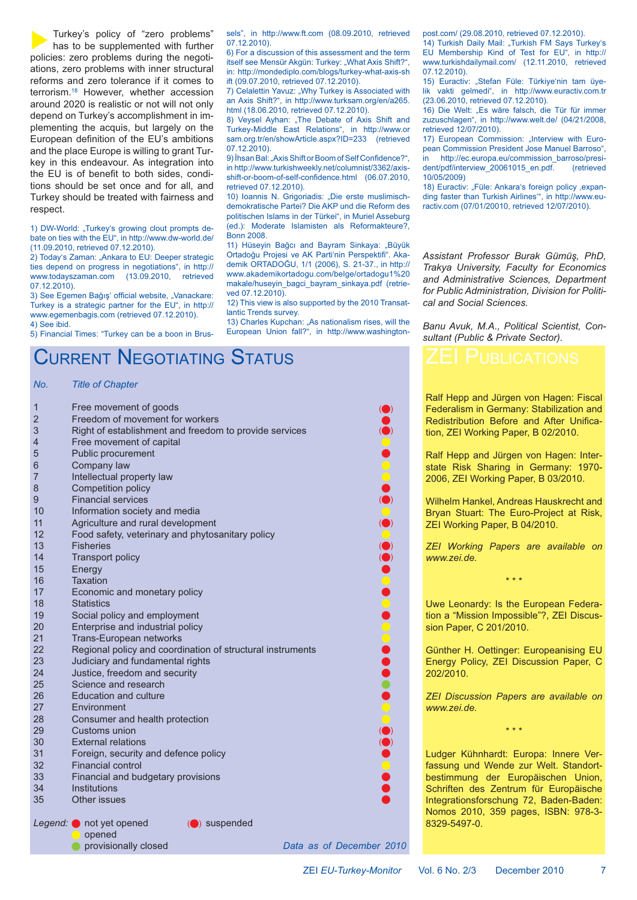Turkey's policy of "zero problems" has to be supplemented with further policies: zero problems during the negotiations, zero problems with inner structural reforms and zero tolerance if it comes to terrorism.18 However, whether accession around 2020 is realistic or not will not only depend on Turkey's accomplishment in implementing the acquis, but largely on the European definition of the EU's ambitions and the place Europe is willing to grant Turkey in this endeavour. As integration into the EU is of benefit to both sides, conditions should be set once and for all, and Turkey should be treated with fairness and respect.

1) DW-World: "Turkey's growing clout prompts debate on ties with the EU", in http://www.dw-world.de/ (11.09.2010, retrieved 07.12.2010).

2) Today's Zaman: "Ankara to EU: Deeper strategic ties depend on progress in negotiations", in http:// www.todayszaman.com (13.09.2010, retrieved 07.12.2010).

3) See Egemen Bağış' official website, "Vanackare: Turkey is a strategic partner for the EU", in http:// www.egemenbagis.com (retrieved 07.12.2010). 4) See ibid.

5) Financial Times: "Turkey can be a boon in Brus-

**O** provisionally closed

### ; urrent  $N$ egotiating Status

*No. Title of Chapter*

| $\mathbf{1}$   | Free movement of goods                                                          |
|----------------|---------------------------------------------------------------------------------|
| $\overline{2}$ | Freedom of movement for workers                                                 |
| 3              | Right of establishment and freedom to provide services                          |
| 4              | <b>COCOCOCO</b><br>Free movement of capital                                     |
| 5              | Public procurement                                                              |
| 6              | Company law                                                                     |
| $\overline{7}$ | Intellectual property law                                                       |
| 8              | Competition policy                                                              |
| 9              | <b>Financial services</b>                                                       |
| 10             | Information society and media                                                   |
| 11             | Agriculture and rural development                                               |
| 12             | Food safety, veterinary and phytosanitary policy                                |
| 13             | <b>Fisheries</b>                                                                |
| 14             | <b>Transport policy</b>                                                         |
| 15             | Energy                                                                          |
| 16             | <b>Taxation</b>                                                                 |
| 17             | Economic and monetary policy                                                    |
| 18             | <b></b><br><b>Statistics</b>                                                    |
| 19             | Social policy and employment                                                    |
| 20             | Enterprise and industrial policy                                                |
| 21             | Trans-European networks                                                         |
| 22             | Regional policy and coordination of structural instruments                      |
| 23             | Judiciary and fundamental rights                                                |
| 24             | Justice, freedom and security                                                   |
| 25             | Science and research                                                            |
| 26             | <b>Education and culture</b>                                                    |
| 27             | Environment                                                                     |
| 28             | Consumer and health protection                                                  |
| 29             | Customs union                                                                   |
| 30             | <b>External relations</b>                                                       |
| 31             | Foreign, security and defence policy                                            |
| 32             | <b>Financial control</b>                                                        |
| 33             | Financial and budgetary provisions                                              |
| 34             | Institutions                                                                    |
| 35             | Other issues                                                                    |
|                | Legend: $\bullet$ not yet opened<br>$\left(\bigcirc\right)$ suspended<br>opened |

post.com/ (29.08.2010, retrieved 07.12.2010).

sels", in http://www.ft.com (08.09.2010, retrieved

6) For a discussion of this assessment and the term itself see Mensür Akgün: Turkey: "What Axis Shift?", in: http://mondediplo.com/blogs/turkey-what-axis-sh

7) Celalettin Yavuz: "Why Turkey is Associated with an Axis Shift?", in http://www.turksam.org/en/a265.

8) Veysel Ayhan: "The Debate of Axis Shift and Turkey-Middle East Relations", in http://www.or sam.org.tr/en/showArticle.aspx?ID=233 (retrieved

9) Ihsan Bal: "Axis Shift or Boom of Self Confidence?", in http://www.turkishweekly.net/columnist/3362/axisshift-or-boom-of-self-confidence.html (06.07.2010,

10) Ioannis N. Grigoriadis: "Die erste muslimischdemokratische Partei? Die AKP und die Reform des politischen Islams in der Türkei", in Muriel Asseburg (ed.): Moderate Islamisten als Reformakteure?,

11) Hüseyin Bağcı and Bayram Sinkaya: "Büyük Ortadoğu Projesi ve AK Parti'nin Perspektifi". Akademik ORTADOĞU, 1/1 (2006), S. 21-37., in http:// www.akademikortadogu.com/belge/ortadogu1%20 makale/huseyin\_bagci\_bayram\_sinkaya.pdf (retrie-

12) This view is also supported by the 2010 Transat-

13) Charles Kupchan: "As nationalism rises, will the European Union fall?", in http://www.washington-

> )  $\bullet$

> > )

)

)

)

)  $\bullet$ 

)

) -

ift (09.07.2010, retrieved 07.12.2010).

html (18.06.2010, retrieved 07.12.2010).

07.12.2010).

07.12.2010).

Bonn 2008.

ved 07.12.2010).

lantic Trends survey.

retrieved 07.12.2010).

14) Turkish Daily Mail: "Turkish FM Says Turkey's EU Membership Kind of Test for EU", in http:// www.turkishdailymail.com/ (12.11.2010, retrieved 07.12.2010).

15) Euractiv: "Stefan Füle: Türkive'nin tam üyelik vakti gelmedi", in http://www.euractiv.com.tr (23.06.2010, retrieved 07.12.2010).

16) Die Welt: "Es wäre falsch, die Tür für immer zuzuschlagen", in http://www.welt.de/ (04/21/2008, retrieved 12/07/2010).

17) European Commission: "Interview with European Commission President Jose Manuel Barroso", http://ec.europa.eu/commission\_barroso/presi-<br>/pdf/interview\_20061015\_en.pdf (retrieved dent/pdf/interview\_20061015\_en.pdf. 10/05/2009)

18) Euractiv: "Füle: Ankara's foreign policy , expanding faster than Turkish Airlines'", in http://www.euractiv.com (07/01/20010, retrieved 12/07/2010).

*Assistant Professor Burak Gümüş, PhD, Trakya University, Faculty for Economics and Administrative Sciences, Department for Public Administration, Division for Political and Social Sciences.*

*Banu Avuk, M.A., Political Scientist, Consultant (Public & Private Sector).*

Ralf Hepp and Jürgen von Hagen: Fiscal Federalism in Germany: Stabilization and Redistribution Before and After Unification, ZEI Working Paper, B 02/2010.

Ralf Hepp and Jürgen von Hagen: Interstate Risk Sharing in Germany: 1970- 2006, ZEI Working Paper, B 03/2010.

Wilhelm Hankel, Andreas Hauskrecht and Bryan Stuart: The Euro-Project at Risk, ZEI Working Paper, B 04/2010.

*ZEI Working Papers are available on www.zei.de.*

\* \* \*

Uwe Leonardy: Is the European Federation a "Mission Impossible"?, ZEI Discussion Paper, C 201/2010.

Günther H. Oettinger: Europeanising EU Energy Policy, ZEI Discussion Paper, C 202/2010.

*ZEI Discussion Papers are available on www.zei.de.*

\* \* \*

Ludger Kühnhardt: Europa: Innere Verfassung und Wende zur Welt. Standortbestimmung der Europäischen Union, Schriften des Zentrum für Europäische Integrationsforschung 72, Baden-Baden: Nomos 2010, 359 pages, ISBN: 978-3- 8329-5497-0.

Data as of December 2010